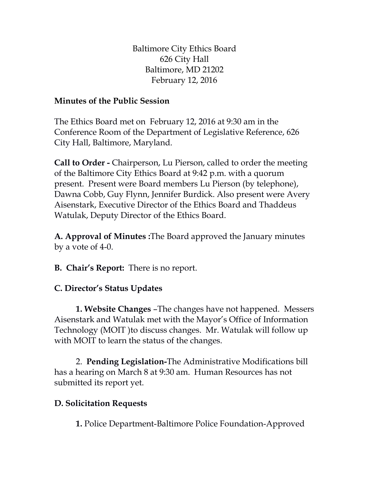Baltimore City Ethics Board 626 City Hall Baltimore, MD 21202 February 12, 2016

## **Minutes of the Public Session**

The Ethics Board met on February 12, 2016 at 9:30 am in the Conference Room of the Department of Legislative Reference, 626 City Hall, Baltimore, Maryland.

**Call to Order -** Chairperson, Lu Pierson, called to order the meeting of the Baltimore City Ethics Board at 9:42 p.m. with a quorum present. Present were Board members Lu Pierson (by telephone), Dawna Cobb, Guy Flynn, Jennifer Burdick. Also present were Avery Aisenstark, Executive Director of the Ethics Board and Thaddeus Watulak, Deputy Director of the Ethics Board.

**A. Approval of Minutes :**The Board approved the January minutes by a vote of 4-0.

**B. Chair's Report:** There is no report.

## **C. Director's Status Updates**

**1. Website Changes** –The changes have not happened. Messers Aisenstark and Watulak met with the Mayor's Office of Information Technology (MOIT )to discuss changes. Mr. Watulak will follow up with MOIT to learn the status of the changes.

2. **Pending Legislation-**The Administrative Modifications bill has a hearing on March 8 at 9:30 am. Human Resources has not submitted its report yet.

## **D. Solicitation Requests**

**1.** Police Department-Baltimore Police Foundation-Approved